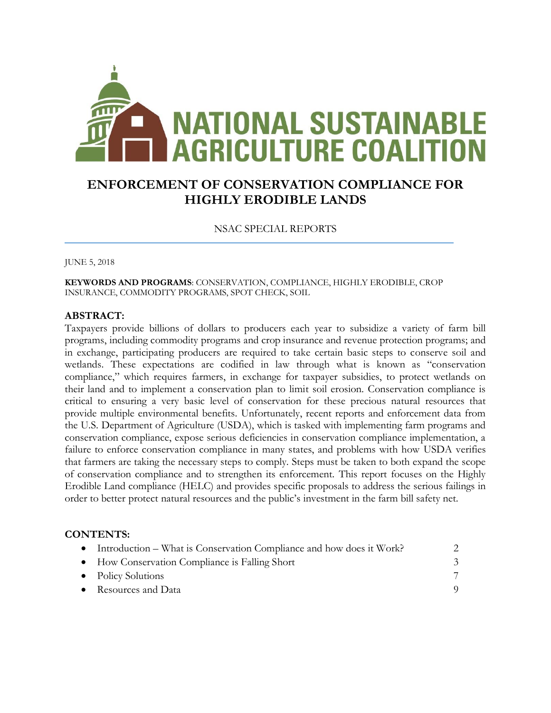

# **ENFORCEMENT OF CONSERVATION COMPLIANCE FOR HIGHLY ERODIBLE LANDS**

NSAC SPECIAL REPORTS

JUNE 5, 2018

**KEYWORDS AND PROGRAMS**: CONSERVATION, COMPLIANCE, HIGHLY ERODIBLE, CROP INSURANCE, COMMODITY PROGRAMS, SPOT CHECK, SOIL

#### **ABSTRACT:**

Taxpayers provide billions of dollars to producers each year to subsidize a variety of farm bill programs, including commodity programs and crop insurance and revenue protection programs; and in exchange, participating producers are required to take certain basic steps to conserve soil and wetlands. These expectations are codified in law through what is known as "conservation compliance," which requires farmers, in exchange for taxpayer subsidies, to protect wetlands on their land and to implement a conservation plan to limit soil erosion. Conservation compliance is critical to ensuring a very basic level of conservation for these precious natural resources that provide multiple environmental benefits. Unfortunately, recent reports and enforcement data from the U.S. Department of Agriculture (USDA), which is tasked with implementing farm programs and conservation compliance, expose serious deficiencies in conservation compliance implementation, a failure to enforce conservation compliance in many states, and problems with how USDA verifies that farmers are taking the necessary steps to comply. Steps must be taken to both expand the scope of conservation compliance and to strengthen its enforcement. This report focuses on the Highly Erodible Land compliance (HELC) and provides specific proposals to address the serious failings in order to better protect natural resources and the public's investment in the farm bill safety net.

#### **CONTENTS:**

| • Introduction – What is Conservation Compliance and how does it Work? |  |
|------------------------------------------------------------------------|--|
| • How Conservation Compliance is Falling Short                         |  |
| • Policy Solutions                                                     |  |
| • Resources and Data                                                   |  |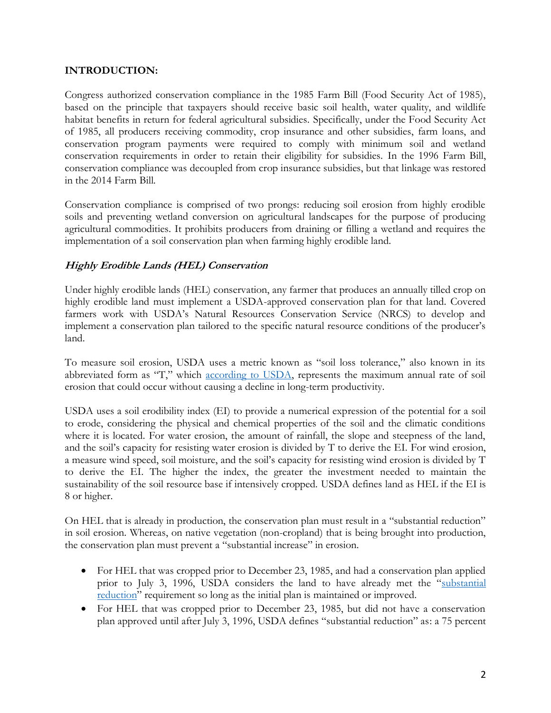## **INTRODUCTION:**

Congress authorized conservation compliance in the 1985 Farm Bill (Food Security Act of 1985), based on the principle that taxpayers should receive basic soil health, water quality, and wildlife habitat benefits in return for federal agricultural subsidies. Specifically, under the Food Security Act of 1985, all producers receiving commodity, crop insurance and other subsidies, farm loans, and conservation program payments were required to comply with minimum soil and wetland conservation requirements in order to retain their eligibility for subsidies. In the 1996 Farm Bill, conservation compliance was decoupled from crop insurance subsidies, but that linkage was restored in the 2014 Farm Bill.

Conservation compliance is comprised of two prongs: reducing soil erosion from highly erodible soils and preventing wetland conversion on agricultural landscapes for the purpose of producing agricultural commodities. It prohibits producers from draining or filling a wetland and requires the implementation of a soil conservation plan when farming highly erodible land.

# **Highly Erodible Lands (HEL) Conservation**

Under highly erodible lands (HEL) conservation, any farmer that produces an annually tilled crop on highly erodible land must implement a USDA-approved conservation plan for that land. Covered farmers work with USDA's Natural Resources Conservation Service (NRCS) to develop and implement a conservation plan tailored to the specific natural resource conditions of the producer's land.

To measure soil erosion, USDA uses a metric known as "soil loss tolerance," also known in its abbreviated form as "T," which [according to USDA,](https://www.nrcs.usda.gov/wps/portal/nrcs/detail/national/home/?cid=stelprdb1041925) represents the maximum annual rate of soil erosion that could occur without causing a decline in long-term productivity.

USDA uses a soil erodibility index (EI) to provide a numerical expression of the potential for a soil to erode, considering the physical and chemical properties of the soil and the climatic conditions where it is located. For water erosion, the amount of rainfall, the slope and steepness of the land, and the soil's capacity for resisting water erosion is divided by T to derive the EI. For wind erosion, a measure wind speed, soil moisture, and the soil's capacity for resisting wind erosion is divided by T to derive the EI. The higher the index, the greater the investment needed to maintain the sustainability of the soil resource base if intensively cropped. USDA defines land as HEL if the EI is 8 or higher.

On HEL that is already in production, the conservation plan must result in a "substantial reduction" in soil erosion. Whereas, on native vegetation (non-cropland) that is being brought into production, the conservation plan must prevent a "substantial increase" in erosion.

- For HEL that was cropped prior to December 23, 1985, and had a conservation plan applied prior to July 3, 1996, USDA considers the land to have already met the "[substantial](https://www.ecfr.gov/cgi-bin/text-idx?SID=f76de5eed62eb9f3e0f3103eb41188fd&mc=true&node=se7.1.12_123&rgn=div8)  [reduction](https://www.ecfr.gov/cgi-bin/text-idx?SID=f76de5eed62eb9f3e0f3103eb41188fd&mc=true&node=se7.1.12_123&rgn=div8)" requirement so long as the initial plan is maintained or improved.
- For HEL that was cropped prior to December 23, 1985, but did not have a conservation plan approved until after July 3, 1996, USDA defines "substantial reduction" as: a 75 percent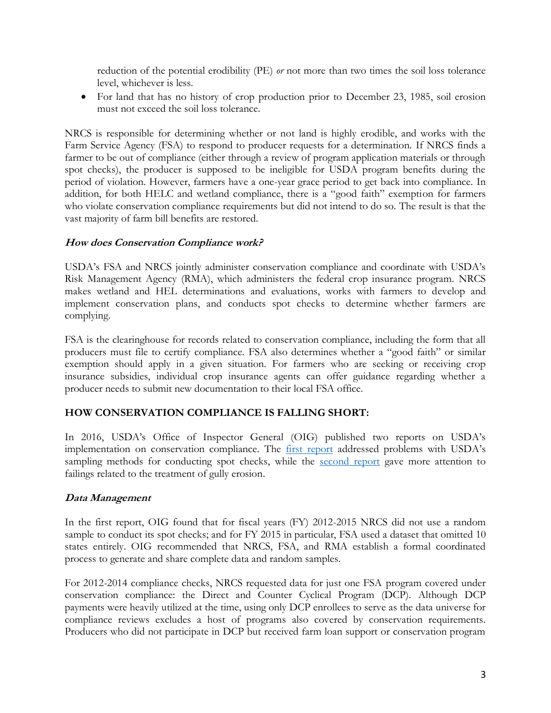reduction of the potential erodibility (PE) *or* not more than two times the soil loss tolerance level, whichever is less.

• For land that has no history of crop production prior to December 23, 1985, soil erosion must not exceed the soil loss tolerance.

NRCS is responsible for determining whether or not land is highly erodible, and works with the Farm Service Agency (FSA) to respond to producer requests for a determination. If NRCS finds a farmer to be out of compliance (either through a review of program application materials or through spot checks), the producer is supposed to be ineligible for USDA program benefits during the period of violation. However, farmers have a one-year grace period to get back into compliance. In addition, for both HELC and wetland compliance, there is a "good faith" exemption for farmers who violate conservation compliance requirements but did not intend to do so. The result is that the vast majority of farm bill benefits are restored.

# **How does Conservation Compliance work?**

USDA's FSA and NRCS jointly administer conservation compliance and coordinate with USDA's Risk Management Agency (RMA), which administers the federal crop insurance program. NRCS makes wetland and HEL determinations and evaluations, works with farmers to develop and implement conservation plans, and conducts spot checks to determine whether farmers are complying.

FSA is the clearinghouse for records related to conservation compliance, including the form that all producers must file to certify compliance. FSA also determines whether a "good faith" or similar exemption should apply in a given situation. For farmers who are seeking or receiving crop insurance subsidies, individual crop insurance agents can offer guidance regarding whether a producer needs to submit new documentation to their local FSA office.

# **HOW CONSERVATION COMPLIANCE IS FALLING SHORT:**

In 2016, USDA's Office of Inspector General (OIG) published two reports on USDA's implementation on conservation compliance. The [first report](https://www.usda.gov/oig/webdocs/50601-0005-31_Interim.pdf) addressed problems with USDA's sampling methods for conducting spot checks, while the [second report](https://www.usda.gov/oig/webdocs/50601-0005-31.pdf) gave more attention to failings related to the treatment of gully erosion.

#### **Data Management**

In the first report, OIG found that for fiscal years (FY) 2012-2015 NRCS did not use a random sample to conduct its spot checks; and for FY 2015 in particular, FSA used a dataset that omitted 10 states entirely. OIG recommended that NRCS, FSA, and RMA establish a formal coordinated process to generate and share complete data and random samples.

For 2012-2014 compliance checks, NRCS requested data for just one FSA program covered under conservation compliance: the Direct and Counter Cyclical Program (DCP). Although DCP payments were heavily utilized at the time, using only DCP enrollees to serve as the data universe for compliance reviews excludes a host of programs also covered by conservation requirements. Producers who did not participate in DCP but received farm loan support or conservation program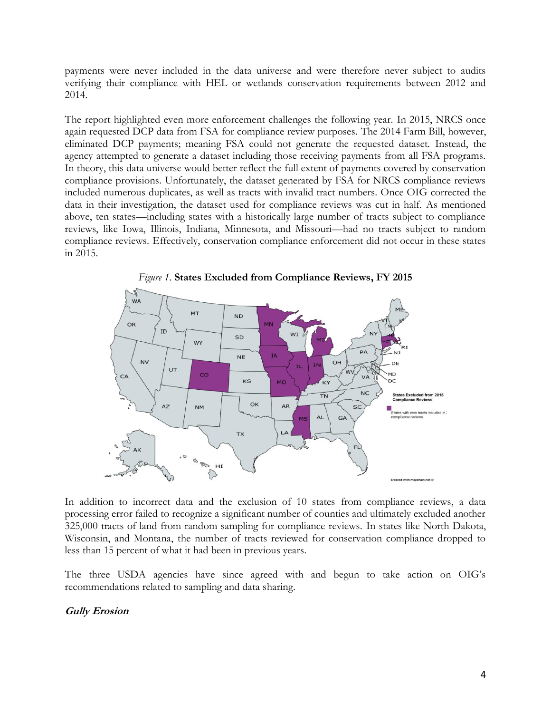payments were never included in the data universe and were therefore never subject to audits verifying their compliance with HEL or wetlands conservation requirements between 2012 and 2014.

The report highlighted even more enforcement challenges the following year. In 2015, NRCS once again requested DCP data from FSA for compliance review purposes. The 2014 Farm Bill, however, eliminated DCP payments; meaning FSA could not generate the requested dataset. Instead, the agency attempted to generate a dataset including those receiving payments from all FSA programs. In theory, this data universe would better reflect the full extent of payments covered by conservation compliance provisions. Unfortunately, the dataset generated by FSA for NRCS compliance reviews included numerous duplicates, as well as tracts with invalid tract numbers. Once OIG corrected the data in their investigation, the dataset used for compliance reviews was cut in half. As mentioned above, ten states—including states with a historically large number of tracts subject to compliance reviews, like Iowa, Illinois, Indiana, Minnesota, and Missouri—had no tracts subject to random compliance reviews. Effectively, conservation compliance enforcement did not occur in these states in 2015.



*Figure 1.* **States Excluded from Compliance Reviews, FY 2015**

In addition to incorrect data and the exclusion of 10 states from compliance reviews, a data processing error failed to recognize a significant number of counties and ultimately excluded another 325,000 tracts of land from random sampling for compliance reviews. In states like North Dakota, Wisconsin, and Montana, the number of tracts reviewed for conservation compliance dropped to less than 15 percent of what it had been in previous years.

The three USDA agencies have since agreed with and begun to take action on OIG's recommendations related to sampling and data sharing.

#### **Gully Erosion**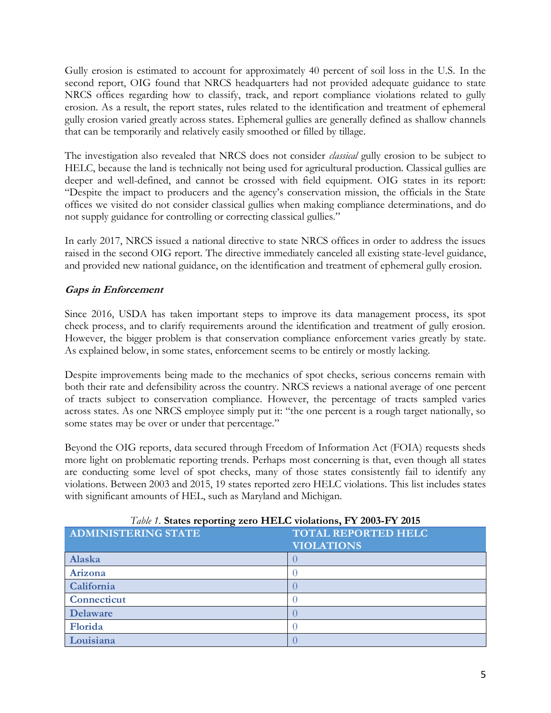Gully erosion is estimated to account for approximately 40 percent of soil loss in the U.S. In the second report, OIG found that NRCS headquarters had not provided adequate guidance to state NRCS offices regarding how to classify, track, and report compliance violations related to gully erosion. As a result, the report states, rules related to the identification and treatment of ephemeral gully erosion varied greatly across states. Ephemeral gullies are generally defined as shallow channels that can be temporarily and relatively easily smoothed or filled by tillage.

The investigation also revealed that NRCS does not consider *classical* gully erosion to be subject to HELC, because the land is technically not being used for agricultural production. Classical gullies are deeper and well-defined, and cannot be crossed with field equipment. OIG states in its report: "Despite the impact to producers and the agency's conservation mission, the officials in the State offices we visited do not consider classical gullies when making compliance determinations, and do not supply guidance for controlling or correcting classical gullies."

In early 2017, NRCS issued a national directive to state NRCS offices in order to address the issues raised in the second OIG report. The directive immediately canceled all existing state-level guidance, and provided new national guidance, on the identification and treatment of ephemeral gully erosion.

# **Gaps in Enforcement**

Since 2016, USDA has taken important steps to improve its data management process, its spot check process, and to clarify requirements around the identification and treatment of gully erosion. However, the bigger problem is that conservation compliance enforcement varies greatly by state. As explained below, in some states, enforcement seems to be entirely or mostly lacking.

Despite improvements being made to the mechanics of spot checks, serious concerns remain with both their rate and defensibility across the country. NRCS reviews a national average of one percent of tracts subject to conservation compliance. However, the percentage of tracts sampled varies across states. As one NRCS employee simply put it: "the one percent is a rough target nationally, so some states may be over or under that percentage."

Beyond the OIG reports, data secured through Freedom of Information Act (FOIA) requests sheds more light on problematic reporting trends. Perhaps most concerning is that, even though all states are conducting some level of spot checks, many of those states consistently fail to identify any violations. Between 2003 and 2015, 19 states reported zero HELC violations. This list includes states with significant amounts of HEL, such as Maryland and Michigan.

| <b>ADMINISTERING STATE</b> | <b>TOTAL REPORTED HELC</b> |
|----------------------------|----------------------------|
|                            | <b>VIOLATIONS</b>          |
| Alaska                     |                            |
| Arizona                    |                            |
| California                 |                            |
| Connecticut                |                            |
| <b>Delaware</b>            |                            |
| Florida                    |                            |
| Louisiana                  |                            |

# *Table 1.* **States reporting zero HELC violations, FY 2003-FY 2015**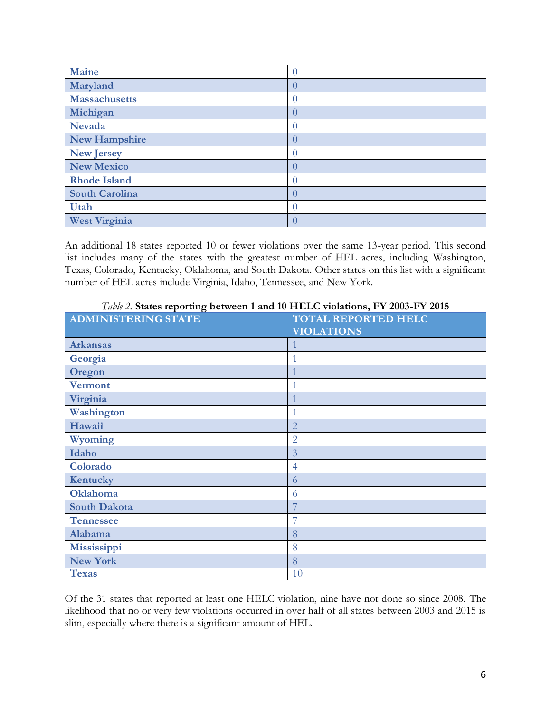| Maine                 |  |
|-----------------------|--|
| Maryland              |  |
| <b>Massachusetts</b>  |  |
| Michigan              |  |
| <b>Nevada</b>         |  |
| <b>New Hampshire</b>  |  |
| <b>New Jersey</b>     |  |
| <b>New Mexico</b>     |  |
| <b>Rhode Island</b>   |  |
| <b>South Carolina</b> |  |
| Utah                  |  |
| <b>West Virginia</b>  |  |

An additional 18 states reported 10 or fewer violations over the same 13-year period. This second list includes many of the states with the greatest number of HEL acres, including Washington, Texas, Colorado, Kentucky, Oklahoma, and South Dakota. Other states on this list with a significant number of HEL acres include Virginia, Idaho, Tennessee, and New York.

| <b>ADMINISTERING STATE</b> | <b>TOTAL REPORTED HELC</b><br><b>VIOLATIONS</b> |
|----------------------------|-------------------------------------------------|
| <b>Arkansas</b>            |                                                 |
| Georgia                    |                                                 |
| Oregon                     |                                                 |
| <b>Vermont</b>             |                                                 |
| Virginia                   | 1                                               |
| Washington                 |                                                 |
| Hawaii                     | $\overline{2}$                                  |
| Wyoming                    | $\overline{2}$                                  |
| Idaho                      | $\overline{3}$                                  |
| Colorado                   | $\overline{4}$                                  |
| Kentucky                   | 6                                               |
| Oklahoma                   | 6                                               |
| <b>South Dakota</b>        |                                                 |
| <b>Tennessee</b>           |                                                 |
| Alabama                    | 8                                               |
| Mississippi                | 8                                               |
| <b>New York</b>            | 8                                               |
| <b>Texas</b>               | 10                                              |

# *Table 2.* **States reporting between 1 and 10 HELC violations, FY 2003-FY 2015**

Of the 31 states that reported at least one HELC violation, nine have not done so since 2008. The likelihood that no or very few violations occurred in over half of all states between 2003 and 2015 is slim, especially where there is a significant amount of HEL.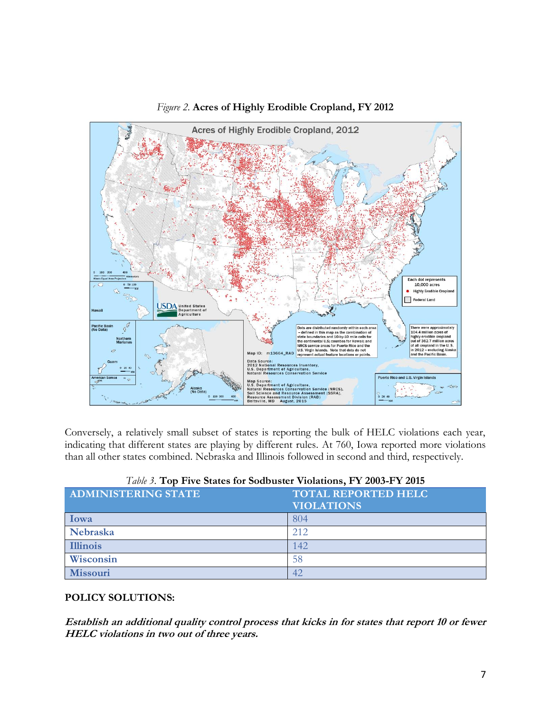

# *Figure 2.* **Acres of Highly Erodible Cropland, FY 2012**

Conversely, a relatively small subset of states is reporting the bulk of HELC violations each year, indicating that different states are playing by different rules. At 760, Iowa reported more violations than all other states combined. Nebraska and Illinois followed in second and third, respectively.

| $1400$ , 1 Op 1 Ive blaies for boundately riolations, 1 1 2005-1 1 2015 |                                                 |  |  |
|-------------------------------------------------------------------------|-------------------------------------------------|--|--|
| <b>ADMINISTERING STATE</b>                                              | <b>TOTAL REPORTED HELC</b><br><b>VIOLATIONS</b> |  |  |
| Iowa                                                                    | 804                                             |  |  |
| Nebraska                                                                | 2.12                                            |  |  |
| <b>Illinois</b>                                                         | 142                                             |  |  |
| Wisconsin                                                               | 58                                              |  |  |
| Missouri                                                                | 42                                              |  |  |

#### *Table 3.* **Top Five States for Sodbuster Violations, FY 2003-FY 2015**

#### **POLICY SOLUTIONS:**

**Establish an additional quality control process that kicks in for states that report 10 or fewer HELC violations in two out of three years.**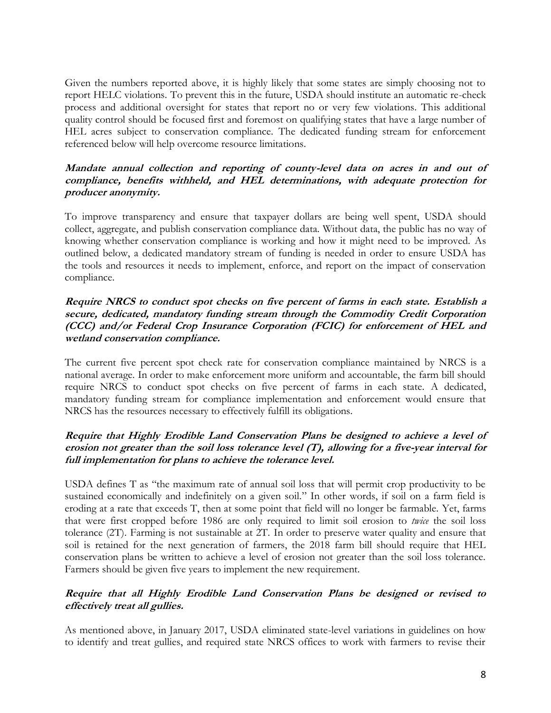Given the numbers reported above, it is highly likely that some states are simply choosing not to report HELC violations. To prevent this in the future, USDA should institute an automatic re-check process and additional oversight for states that report no or very few violations. This additional quality control should be focused first and foremost on qualifying states that have a large number of HEL acres subject to conservation compliance. The dedicated funding stream for enforcement referenced below will help overcome resource limitations.

# **Mandate annual collection and reporting of county-level data on acres in and out of compliance, benefits withheld, and HEL determinations, with adequate protection for producer anonymity.**

To improve transparency and ensure that taxpayer dollars are being well spent, USDA should collect, aggregate, and publish conservation compliance data. Without data, the public has no way of knowing whether conservation compliance is working and how it might need to be improved. As outlined below, a dedicated mandatory stream of funding is needed in order to ensure USDA has the tools and resources it needs to implement, enforce, and report on the impact of conservation compliance.

## **Require NRCS to conduct spot checks on five percent of farms in each state. Establish a secure, dedicated, mandatory funding stream through the Commodity Credit Corporation (CCC) and/or Federal Crop Insurance Corporation (FCIC) for enforcement of HEL and wetland conservation compliance.**

The current five percent spot check rate for conservation compliance maintained by NRCS is a national average. In order to make enforcement more uniform and accountable, the farm bill should require NRCS to conduct spot checks on five percent of farms in each state. A dedicated, mandatory funding stream for compliance implementation and enforcement would ensure that NRCS has the resources necessary to effectively fulfill its obligations.

# **Require that Highly Erodible Land Conservation Plans be designed to achieve a level of erosion not greater than the soil loss tolerance level (T), allowing for a five-year interval for full implementation for plans to achieve the tolerance level.**

USDA defines T as "the maximum rate of annual soil loss that will permit crop productivity to be sustained economically and indefinitely on a given soil." In other words, if soil on a farm field is eroding at a rate that exceeds T, then at some point that field will no longer be farmable. Yet, farms that were first cropped before 1986 are only required to limit soil erosion to *twice* the soil loss tolerance (2T). Farming is not sustainable at 2T. In order to preserve water quality and ensure that soil is retained for the next generation of farmers, the 2018 farm bill should require that HEL conservation plans be written to achieve a level of erosion not greater than the soil loss tolerance. Farmers should be given five years to implement the new requirement.

# **Require that all Highly Erodible Land Conservation Plans be designed or revised to effectively treat all gullies.**

As mentioned above, in January 2017, USDA eliminated state-level variations in guidelines on how to identify and treat gullies, and required state NRCS offices to work with farmers to revise their